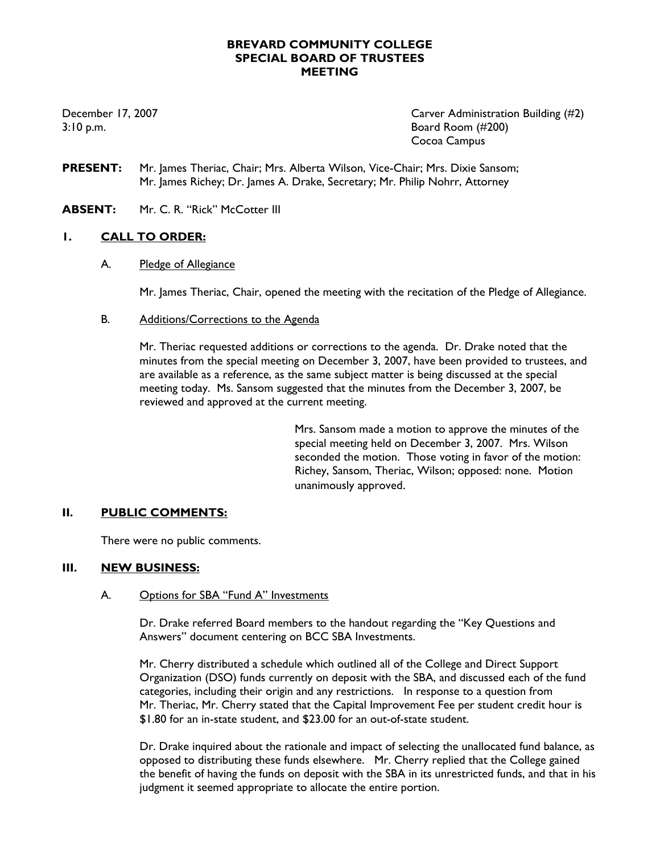### **BREVARD COMMUNITY COLLEGE SPECIAL BOARD OF TRUSTEES MEETING**

December 17, 2007 Carver Administration Building (#2) 3:10 p.m. Board Room (#200) Cocoa Campus

- **PRESENT:** Mr. James Theriac, Chair; Mrs. Alberta Wilson, Vice-Chair; Mrs. Dixie Sansom; Mr. James Richey; Dr. James A. Drake, Secretary; Mr. Philip Nohrr, Attorney
- **ABSENT:** Mr. C. R. "Rick" McCotter III

## **1. CALL TO ORDER:**

A. Pledge of Allegiance

Mr. James Theriac, Chair, opened the meeting with the recitation of the Pledge of Allegiance.

B. Additions/Corrections to the Agenda

Mr. Theriac requested additions or corrections to the agenda. Dr. Drake noted that the minutes from the special meeting on December 3, 2007, have been provided to trustees, and are available as a reference, as the same subject matter is being discussed at the special meeting today. Ms. Sansom suggested that the minutes from the December 3, 2007, be reviewed and approved at the current meeting.

> Mrs. Sansom made a motion to approve the minutes of the special meeting held on December 3, 2007. Mrs. Wilson seconded the motion. Those voting in favor of the motion: Richey, Sansom, Theriac, Wilson; opposed: none. Motion unanimously approved.

### **II. PUBLIC COMMENTS:**

There were no public comments.

### **III. NEW BUSINESS:**

### A. Options for SBA "Fund A" Investments

Dr. Drake referred Board members to the handout regarding the "Key Questions and Answers" document centering on BCC SBA Investments.

Mr. Cherry distributed a schedule which outlined all of the College and Direct Support Organization (DSO) funds currently on deposit with the SBA, and discussed each of the fund categories, including their origin and any restrictions. In response to a question from Mr. Theriac, Mr. Cherry stated that the Capital Improvement Fee per student credit hour is \$1.80 for an in-state student, and \$23.00 for an out-of-state student.

Dr. Drake inquired about the rationale and impact of selecting the unallocated fund balance, as opposed to distributing these funds elsewhere. Mr. Cherry replied that the College gained the benefit of having the funds on deposit with the SBA in its unrestricted funds, and that in his judgment it seemed appropriate to allocate the entire portion.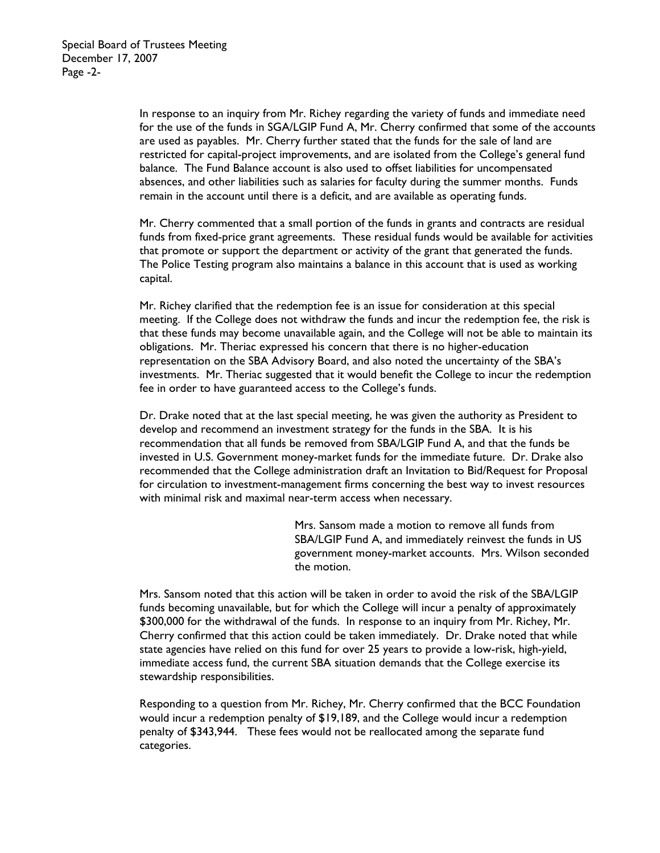In response to an inquiry from Mr. Richey regarding the variety of funds and immediate need for the use of the funds in SGA/LGIP Fund A, Mr. Cherry confirmed that some of the accounts are used as payables. Mr. Cherry further stated that the funds for the sale of land are restricted for capital-project improvements, and are isolated from the College's general fund balance. The Fund Balance account is also used to offset liabilities for uncompensated absences, and other liabilities such as salaries for faculty during the summer months. Funds remain in the account until there is a deficit, and are available as operating funds.

Mr. Cherry commented that a small portion of the funds in grants and contracts are residual funds from fixed-price grant agreements. These residual funds would be available for activities that promote or support the department or activity of the grant that generated the funds. The Police Testing program also maintains a balance in this account that is used as working capital.

Mr. Richey clarified that the redemption fee is an issue for consideration at this special meeting. If the College does not withdraw the funds and incur the redemption fee, the risk is that these funds may become unavailable again, and the College will not be able to maintain its obligations. Mr. Theriac expressed his concern that there is no higher-education representation on the SBA Advisory Board, and also noted the uncertainty of the SBA's investments. Mr. Theriac suggested that it would benefit the College to incur the redemption fee in order to have guaranteed access to the College's funds.

Dr. Drake noted that at the last special meeting, he was given the authority as President to develop and recommend an investment strategy for the funds in the SBA. It is his recommendation that all funds be removed from SBA/LGIP Fund A, and that the funds be invested in U.S. Government money-market funds for the immediate future. Dr. Drake also recommended that the College administration draft an Invitation to Bid/Request for Proposal for circulation to investment-management firms concerning the best way to invest resources with minimal risk and maximal near-term access when necessary.

> Mrs. Sansom made a motion to remove all funds from SBA/LGIP Fund A, and immediately reinvest the funds in US government money-market accounts. Mrs. Wilson seconded the motion.

Mrs. Sansom noted that this action will be taken in order to avoid the risk of the SBA/LGIP funds becoming unavailable, but for which the College will incur a penalty of approximately \$300,000 for the withdrawal of the funds. In response to an inquiry from Mr. Richey, Mr. Cherry confirmed that this action could be taken immediately. Dr. Drake noted that while state agencies have relied on this fund for over 25 years to provide a low-risk, high-yield, immediate access fund, the current SBA situation demands that the College exercise its stewardship responsibilities.

Responding to a question from Mr. Richey, Mr. Cherry confirmed that the BCC Foundation would incur a redemption penalty of \$19,189, and the College would incur a redemption penalty of \$343,944. These fees would not be reallocated among the separate fund categories.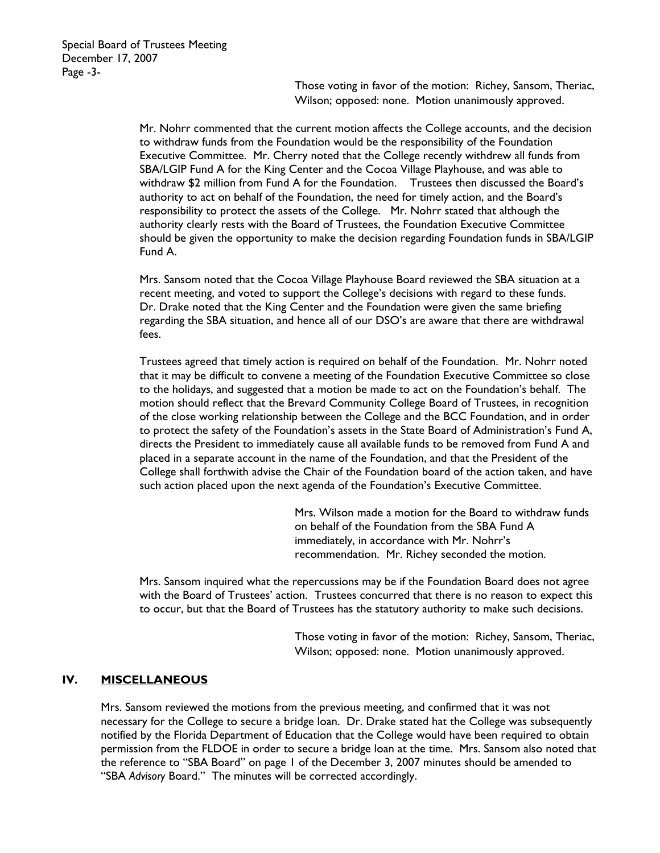Those voting in favor of the motion: Richey, Sansom, Theriac, Wilson; opposed: none. Motion unanimously approved.

Mr. Nohrr commented that the current motion affects the College accounts, and the decision to withdraw funds from the Foundation would be the responsibility of the Foundation Executive Committee. Mr. Cherry noted that the College recently withdrew all funds from SBA/LGIP Fund A for the King Center and the Cocoa Village Playhouse, and was able to withdraw \$2 million from Fund A for the Foundation. Trustees then discussed the Board's authority to act on behalf of the Foundation, the need for timely action, and the Board's responsibility to protect the assets of the College. Mr. Nohrr stated that although the authority clearly rests with the Board of Trustees, the Foundation Executive Committee should be given the opportunity to make the decision regarding Foundation funds in SBA/LGIP Fund A.

Mrs. Sansom noted that the Cocoa Village Playhouse Board reviewed the SBA situation at a recent meeting, and voted to support the College's decisions with regard to these funds. Dr. Drake noted that the King Center and the Foundation were given the same briefing regarding the SBA situation, and hence all of our DSO's are aware that there are withdrawal fees.

Trustees agreed that timely action is required on behalf of the Foundation. Mr. Nohrr noted that it may be difficult to convene a meeting of the Foundation Executive Committee so close to the holidays, and suggested that a motion be made to act on the Foundation's behalf. The motion should reflect that the Brevard Community College Board of Trustees, in recognition of the close working relationship between the College and the BCC Foundation, and in order to protect the safety of the Foundation's assets in the State Board of Administration's Fund A, directs the President to immediately cause all available funds to be removed from Fund A and placed in a separate account in the name of the Foundation, and that the President of the College shall forthwith advise the Chair of the Foundation board of the action taken, and have such action placed upon the next agenda of the Foundation's Executive Committee.

> Mrs. Wilson made a motion for the Board to withdraw funds on behalf of the Foundation from the SBA Fund A immediately, in accordance with Mr. Nohrr's recommendation. Mr. Richey seconded the motion.

Mrs. Sansom inquired what the repercussions may be if the Foundation Board does not agree with the Board of Trustees' action. Trustees concurred that there is no reason to expect this to occur, but that the Board of Trustees has the statutory authority to make such decisions.

> Those voting in favor of the motion: Richey, Sansom, Theriac, Wilson; opposed: none. Motion unanimously approved.

### **IV. MISCELLANEOUS**

Mrs. Sansom reviewed the motions from the previous meeting, and confirmed that it was not necessary for the College to secure a bridge loan. Dr. Drake stated hat the College was subsequently notified by the Florida Department of Education that the College would have been required to obtain permission from the FLDOE in order to secure a bridge loan at the time. Mrs. Sansom also noted that the reference to "SBA Board" on page 1 of the December 3, 2007 minutes should be amended to "SBA *Advisory* Board." The minutes will be corrected accordingly.